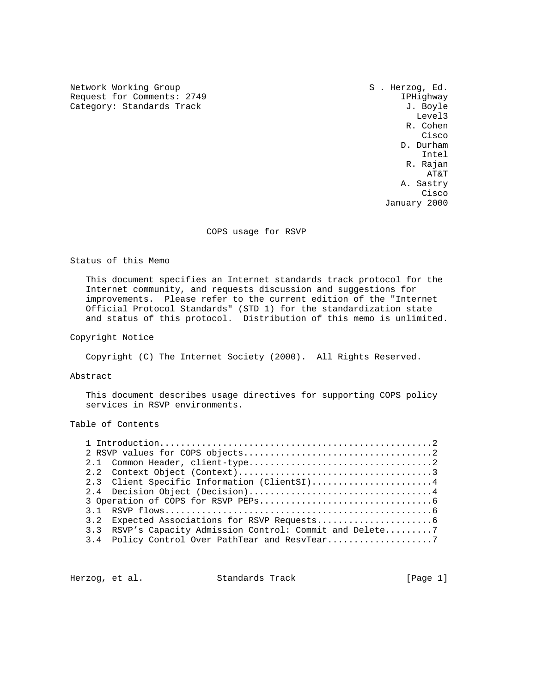Network Working Group S . Herzog, Ed. Request for Comments: 2749 IPHighway

Category: Standards Track J. Boyle<br>Level3 Level3 R. Cohen **Cisco de la contrata de la contrata de la contrata de la contrata de la contrata de la contrata de la contrat**  D. Durham Intel R. Rajan AT&T A. Sastry **Cisco de la contrata de la contrata de la contrata de la contrata de la contrata de la contrata de la contrat** January 2000

COPS usage for RSVP

Status of this Memo

 This document specifies an Internet standards track protocol for the Internet community, and requests discussion and suggestions for improvements. Please refer to the current edition of the "Internet Official Protocol Standards" (STD 1) for the standardization state and status of this protocol. Distribution of this memo is unlimited.

Copyright Notice

Copyright (C) The Internet Society (2000). All Rights Reserved.

Abstract

 This document describes usage directives for supporting COPS policy services in RSVP environments.

Table of Contents

|  | 2.3 Client Specific Information (ClientSI)4               |
|--|-----------------------------------------------------------|
|  |                                                           |
|  |                                                           |
|  |                                                           |
|  |                                                           |
|  | 3.3 RSVP's Capacity Admission Control: Commit and Delete7 |
|  | 3.4 Policy Control Over PathTear and ResvTear7            |
|  |                                                           |

Herzog, et al. Standards Track [Page 1]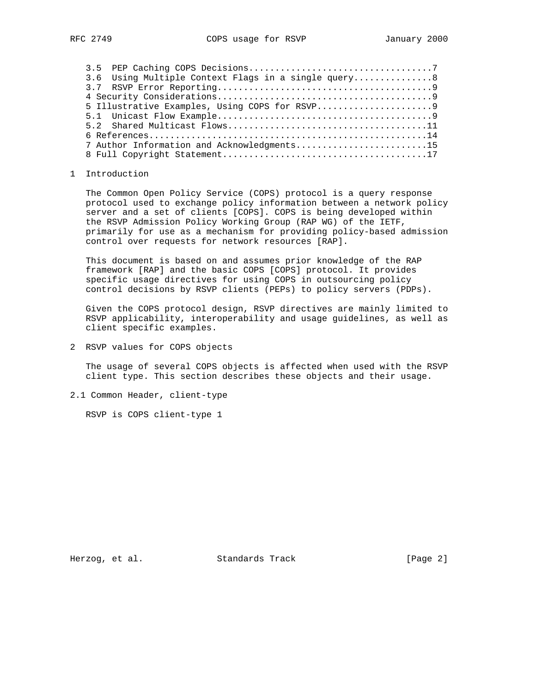| 3.6 Using Multiple Context Flags in a single query8 |
|-----------------------------------------------------|
|                                                     |
|                                                     |
|                                                     |
|                                                     |
|                                                     |
|                                                     |
| 7 Author Information and Acknowledgments15          |
|                                                     |

## 1 Introduction

 The Common Open Policy Service (COPS) protocol is a query response protocol used to exchange policy information between a network policy server and a set of clients [COPS]. COPS is being developed within the RSVP Admission Policy Working Group (RAP WG) of the IETF, primarily for use as a mechanism for providing policy-based admission control over requests for network resources [RAP].

 This document is based on and assumes prior knowledge of the RAP framework [RAP] and the basic COPS [COPS] protocol. It provides specific usage directives for using COPS in outsourcing policy control decisions by RSVP clients (PEPs) to policy servers (PDPs).

 Given the COPS protocol design, RSVP directives are mainly limited to RSVP applicability, interoperability and usage guidelines, as well as client specific examples.

2 RSVP values for COPS objects

 The usage of several COPS objects is affected when used with the RSVP client type. This section describes these objects and their usage.

2.1 Common Header, client-type

RSVP is COPS client-type 1

Herzog, et al. Standards Track [Page 2]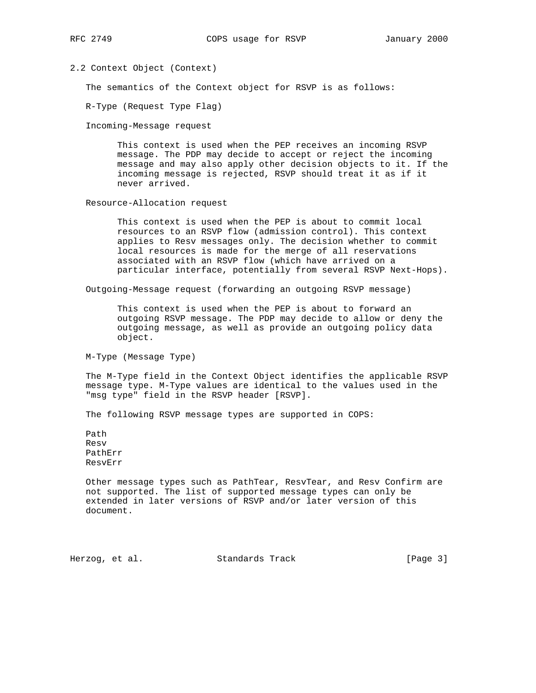## 2.2 Context Object (Context)

The semantics of the Context object for RSVP is as follows:

R-Type (Request Type Flag)

Incoming-Message request

 This context is used when the PEP receives an incoming RSVP message. The PDP may decide to accept or reject the incoming message and may also apply other decision objects to it. If the incoming message is rejected, RSVP should treat it as if it never arrived.

Resource-Allocation request

 This context is used when the PEP is about to commit local resources to an RSVP flow (admission control). This context applies to Resv messages only. The decision whether to commit local resources is made for the merge of all reservations associated with an RSVP flow (which have arrived on a particular interface, potentially from several RSVP Next-Hops).

Outgoing-Message request (forwarding an outgoing RSVP message)

 This context is used when the PEP is about to forward an outgoing RSVP message. The PDP may decide to allow or deny the outgoing message, as well as provide an outgoing policy data object.

M-Type (Message Type)

 The M-Type field in the Context Object identifies the applicable RSVP message type. M-Type values are identical to the values used in the "msg type" field in the RSVP header [RSVP].

The following RSVP message types are supported in COPS:

 Path Resv PathErr ResvErr

 Other message types such as PathTear, ResvTear, and Resv Confirm are not supported. The list of supported message types can only be extended in later versions of RSVP and/or later version of this document.

Herzog, et al. Standards Track [Page 3]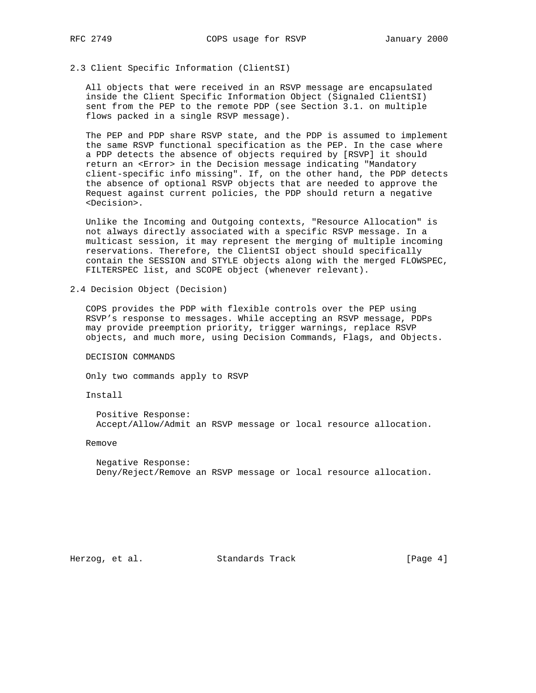# 2.3 Client Specific Information (ClientSI)

 All objects that were received in an RSVP message are encapsulated inside the Client Specific Information Object (Signaled ClientSI) sent from the PEP to the remote PDP (see Section 3.1. on multiple flows packed in a single RSVP message).

 The PEP and PDP share RSVP state, and the PDP is assumed to implement the same RSVP functional specification as the PEP. In the case where a PDP detects the absence of objects required by [RSVP] it should return an <Error> in the Decision message indicating "Mandatory client-specific info missing". If, on the other hand, the PDP detects the absence of optional RSVP objects that are needed to approve the Request against current policies, the PDP should return a negative <Decision>.

 Unlike the Incoming and Outgoing contexts, "Resource Allocation" is not always directly associated with a specific RSVP message. In a multicast session, it may represent the merging of multiple incoming reservations. Therefore, the ClientSI object should specifically contain the SESSION and STYLE objects along with the merged FLOWSPEC, FILTERSPEC list, and SCOPE object (whenever relevant).

2.4 Decision Object (Decision)

 COPS provides the PDP with flexible controls over the PEP using RSVP's response to messages. While accepting an RSVP message, PDPs may provide preemption priority, trigger warnings, replace RSVP objects, and much more, using Decision Commands, Flags, and Objects.

DECISION COMMANDS

Only two commands apply to RSVP

Install

 Positive Response: Accept/Allow/Admit an RSVP message or local resource allocation.

Remove

 Negative Response: Deny/Reject/Remove an RSVP message or local resource allocation.

Herzog, et al. Standards Track [Page 4]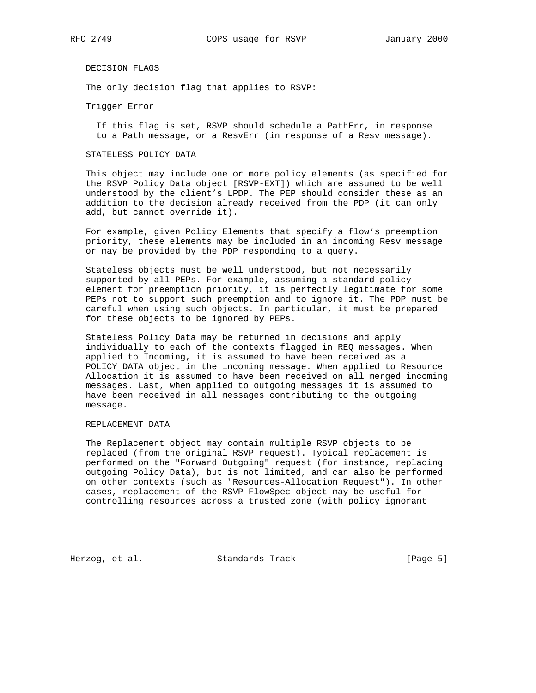DECISION FLAGS

The only decision flag that applies to RSVP:

Trigger Error

 If this flag is set, RSVP should schedule a PathErr, in response to a Path message, or a ResvErr (in response of a Resv message).

## STATELESS POLICY DATA

 This object may include one or more policy elements (as specified for the RSVP Policy Data object [RSVP-EXT]) which are assumed to be well understood by the client's LPDP. The PEP should consider these as an addition to the decision already received from the PDP (it can only add, but cannot override it).

 For example, given Policy Elements that specify a flow's preemption priority, these elements may be included in an incoming Resv message or may be provided by the PDP responding to a query.

 Stateless objects must be well understood, but not necessarily supported by all PEPs. For example, assuming a standard policy element for preemption priority, it is perfectly legitimate for some PEPs not to support such preemption and to ignore it. The PDP must be careful when using such objects. In particular, it must be prepared for these objects to be ignored by PEPs.

 Stateless Policy Data may be returned in decisions and apply individually to each of the contexts flagged in REQ messages. When applied to Incoming, it is assumed to have been received as a POLICY\_DATA object in the incoming message. When applied to Resource Allocation it is assumed to have been received on all merged incoming messages. Last, when applied to outgoing messages it is assumed to have been received in all messages contributing to the outgoing message.

### REPLACEMENT DATA

 The Replacement object may contain multiple RSVP objects to be replaced (from the original RSVP request). Typical replacement is performed on the "Forward Outgoing" request (for instance, replacing outgoing Policy Data), but is not limited, and can also be performed on other contexts (such as "Resources-Allocation Request"). In other cases, replacement of the RSVP FlowSpec object may be useful for controlling resources across a trusted zone (with policy ignorant

Herzog, et al. Standards Track [Page 5]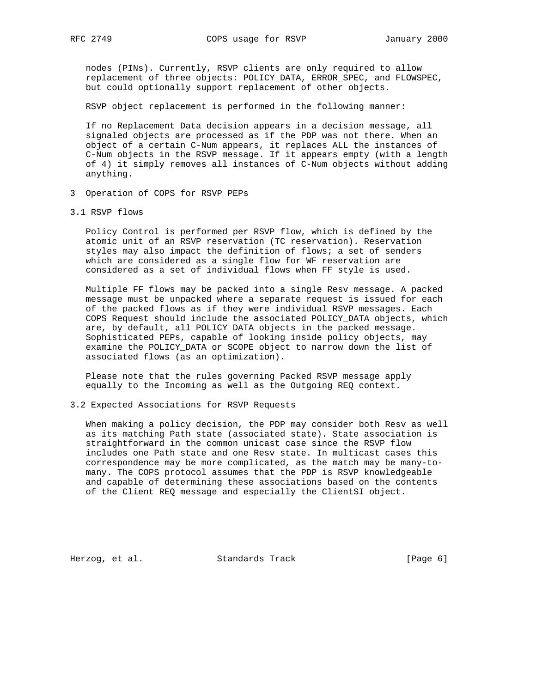nodes (PINs). Currently, RSVP clients are only required to allow replacement of three objects: POLICY\_DATA, ERROR\_SPEC, and FLOWSPEC, but could optionally support replacement of other objects.

RSVP object replacement is performed in the following manner:

 If no Replacement Data decision appears in a decision message, all signaled objects are processed as if the PDP was not there. When an object of a certain C-Num appears, it replaces ALL the instances of C-Num objects in the RSVP message. If it appears empty (with a length of 4) it simply removes all instances of C-Num objects without adding anything.

- 3 Operation of COPS for RSVP PEPs
- 3.1 RSVP flows

 Policy Control is performed per RSVP flow, which is defined by the atomic unit of an RSVP reservation (TC reservation). Reservation styles may also impact the definition of flows; a set of senders which are considered as a single flow for WF reservation are considered as a set of individual flows when FF style is used.

 Multiple FF flows may be packed into a single Resv message. A packed message must be unpacked where a separate request is issued for each of the packed flows as if they were individual RSVP messages. Each COPS Request should include the associated POLICY\_DATA objects, which are, by default, all POLICY\_DATA objects in the packed message. Sophisticated PEPs, capable of looking inside policy objects, may examine the POLICY\_DATA or SCOPE object to narrow down the list of associated flows (as an optimization).

 Please note that the rules governing Packed RSVP message apply equally to the Incoming as well as the Outgoing REQ context.

3.2 Expected Associations for RSVP Requests

 When making a policy decision, the PDP may consider both Resv as well as its matching Path state (associated state). State association is straightforward in the common unicast case since the RSVP flow includes one Path state and one Resv state. In multicast cases this correspondence may be more complicated, as the match may be many-to many. The COPS protocol assumes that the PDP is RSVP knowledgeable and capable of determining these associations based on the contents of the Client REQ message and especially the ClientSI object.

Herzog, et al. Standards Track [Page 6]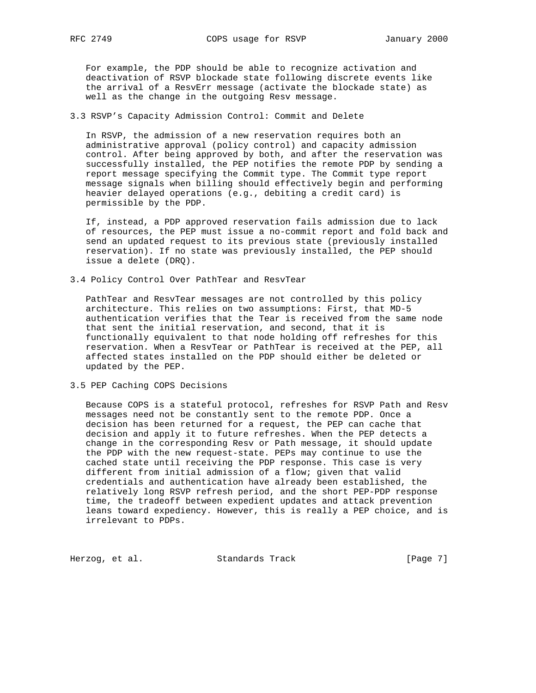For example, the PDP should be able to recognize activation and deactivation of RSVP blockade state following discrete events like the arrival of a ResvErr message (activate the blockade state) as well as the change in the outgoing Resv message.

## 3.3 RSVP's Capacity Admission Control: Commit and Delete

 In RSVP, the admission of a new reservation requires both an administrative approval (policy control) and capacity admission control. After being approved by both, and after the reservation was successfully installed, the PEP notifies the remote PDP by sending a report message specifying the Commit type. The Commit type report message signals when billing should effectively begin and performing heavier delayed operations (e.g., debiting a credit card) is permissible by the PDP.

 If, instead, a PDP approved reservation fails admission due to lack of resources, the PEP must issue a no-commit report and fold back and send an updated request to its previous state (previously installed reservation). If no state was previously installed, the PEP should issue a delete (DRQ).

3.4 Policy Control Over PathTear and ResvTear

 PathTear and ResvTear messages are not controlled by this policy architecture. This relies on two assumptions: First, that MD-5 authentication verifies that the Tear is received from the same node that sent the initial reservation, and second, that it is functionally equivalent to that node holding off refreshes for this reservation. When a ResvTear or PathTear is received at the PEP, all affected states installed on the PDP should either be deleted or updated by the PEP.

3.5 PEP Caching COPS Decisions

 Because COPS is a stateful protocol, refreshes for RSVP Path and Resv messages need not be constantly sent to the remote PDP. Once a decision has been returned for a request, the PEP can cache that decision and apply it to future refreshes. When the PEP detects a change in the corresponding Resv or Path message, it should update the PDP with the new request-state. PEPs may continue to use the cached state until receiving the PDP response. This case is very different from initial admission of a flow; given that valid credentials and authentication have already been established, the relatively long RSVP refresh period, and the short PEP-PDP response time, the tradeoff between expedient updates and attack prevention leans toward expediency. However, this is really a PEP choice, and is irrelevant to PDPs.

Herzog, et al. Standards Track [Page 7]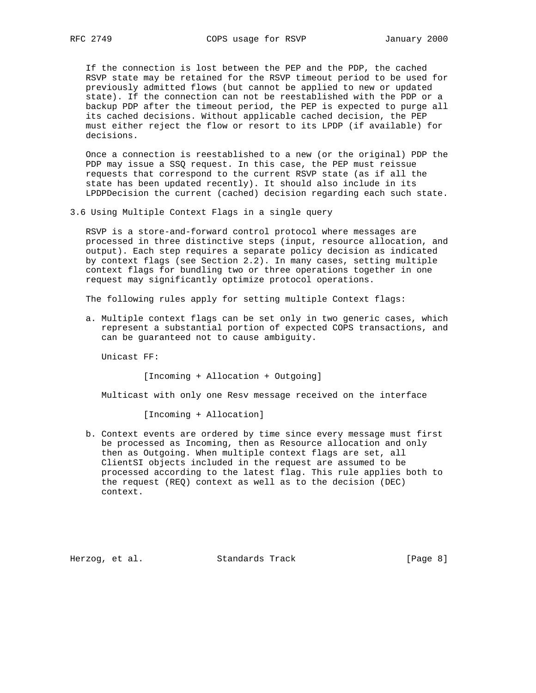If the connection is lost between the PEP and the PDP, the cached RSVP state may be retained for the RSVP timeout period to be used for previously admitted flows (but cannot be applied to new or updated state). If the connection can not be reestablished with the PDP or a backup PDP after the timeout period, the PEP is expected to purge all its cached decisions. Without applicable cached decision, the PEP must either reject the flow or resort to its LPDP (if available) for decisions.

 Once a connection is reestablished to a new (or the original) PDP the PDP may issue a SSQ request. In this case, the PEP must reissue requests that correspond to the current RSVP state (as if all the state has been updated recently). It should also include in its LPDPDecision the current (cached) decision regarding each such state.

3.6 Using Multiple Context Flags in a single query

 RSVP is a store-and-forward control protocol where messages are processed in three distinctive steps (input, resource allocation, and output). Each step requires a separate policy decision as indicated by context flags (see Section 2.2). In many cases, setting multiple context flags for bundling two or three operations together in one request may significantly optimize protocol operations.

The following rules apply for setting multiple Context flags:

 a. Multiple context flags can be set only in two generic cases, which represent a substantial portion of expected COPS transactions, and can be guaranteed not to cause ambiguity.

Unicast FF:

[Incoming + Allocation + Outgoing]

Multicast with only one Resv message received on the interface

[Incoming + Allocation]

 b. Context events are ordered by time since every message must first be processed as Incoming, then as Resource allocation and only then as Outgoing. When multiple context flags are set, all ClientSI objects included in the request are assumed to be processed according to the latest flag. This rule applies both to the request (REQ) context as well as to the decision (DEC) context.

Herzog, et al. Standards Track [Page 8]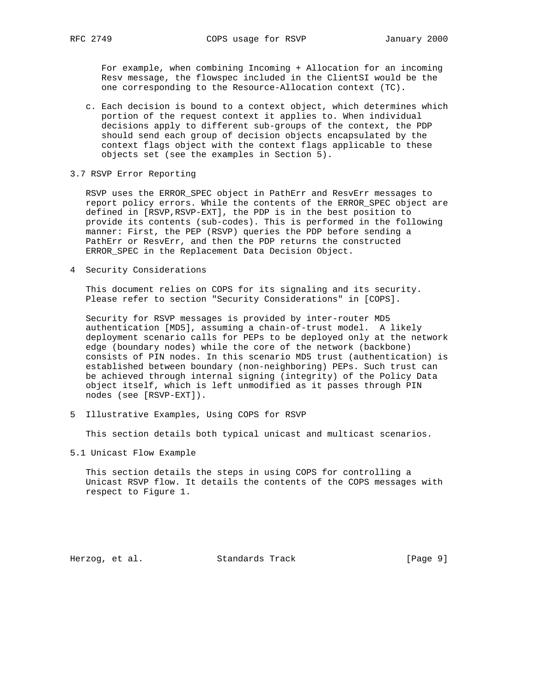For example, when combining Incoming + Allocation for an incoming Resv message, the flowspec included in the ClientSI would be the one corresponding to the Resource-Allocation context (TC).

- c. Each decision is bound to a context object, which determines which portion of the request context it applies to. When individual decisions apply to different sub-groups of the context, the PDP should send each group of decision objects encapsulated by the context flags object with the context flags applicable to these objects set (see the examples in Section 5).
- 3.7 RSVP Error Reporting

 RSVP uses the ERROR\_SPEC object in PathErr and ResvErr messages to report policy errors. While the contents of the ERROR\_SPEC object are defined in [RSVP,RSVP-EXT], the PDP is in the best position to provide its contents (sub-codes). This is performed in the following manner: First, the PEP (RSVP) queries the PDP before sending a PathErr or ResvErr, and then the PDP returns the constructed ERROR\_SPEC in the Replacement Data Decision Object.

4 Security Considerations

 This document relies on COPS for its signaling and its security. Please refer to section "Security Considerations" in [COPS].

 Security for RSVP messages is provided by inter-router MD5 authentication [MD5], assuming a chain-of-trust model. A likely deployment scenario calls for PEPs to be deployed only at the network edge (boundary nodes) while the core of the network (backbone) consists of PIN nodes. In this scenario MD5 trust (authentication) is established between boundary (non-neighboring) PEPs. Such trust can be achieved through internal signing (integrity) of the Policy Data object itself, which is left unmodified as it passes through PIN nodes (see [RSVP-EXT]).

5 Illustrative Examples, Using COPS for RSVP

This section details both typical unicast and multicast scenarios.

5.1 Unicast Flow Example

 This section details the steps in using COPS for controlling a Unicast RSVP flow. It details the contents of the COPS messages with respect to Figure 1.

Herzog, et al. Standards Track [Page 9]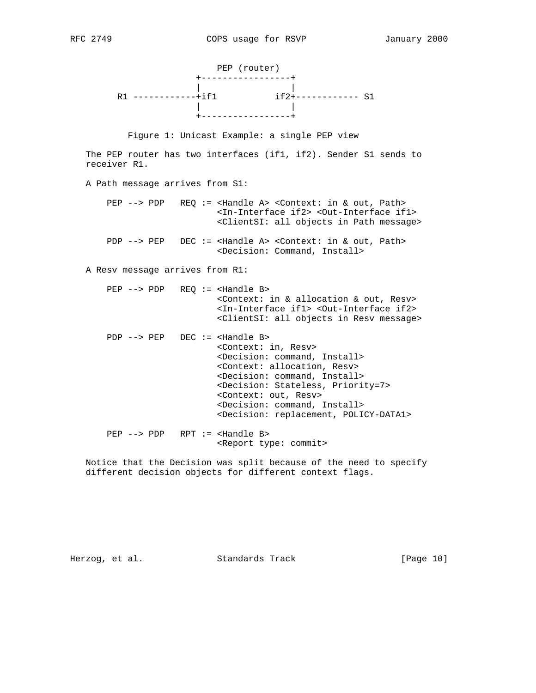

Figure 1: Unicast Example: a single PEP view

 The PEP router has two interfaces (if1, if2). Sender S1 sends to receiver R1.

A Path message arrives from S1:

 PEP --> PDP REQ := <Handle A> <Context: in & out, Path> <In-Interface if2> <Out-Interface if1> <ClientSI: all objects in Path message>

PDP --> PEP DEC := <Handle A> <Context: in & out, Path> <Decision: Command, Install>

A Resv message arrives from R1:

 PEP --> PDP REQ := <Handle B> <Context: in & allocation & out, Resv> <In-Interface if1> <Out-Interface if2> <ClientSI: all objects in Resv message>

 PDP --> PEP DEC := <Handle B> <Context: in, Resv> <Decision: command, Install> <Context: allocation, Resv> <Decision: command, Install> <Decision: Stateless, Priority=7> <Context: out, Resv> <Decision: command, Install> <Decision: replacement, POLICY-DATA1> PEP --> PDP RPT := <Handle B>

<Report type: commit>

 Notice that the Decision was split because of the need to specify different decision objects for different context flags.

Herzog, et al. Standards Track [Page 10]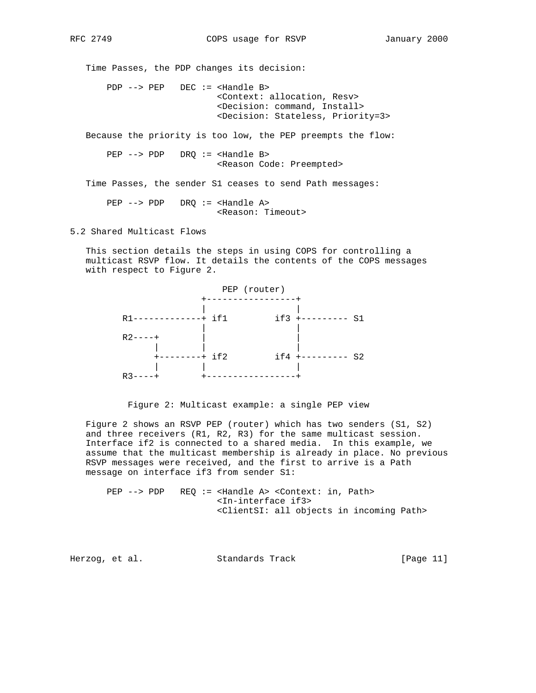Time Passes, the PDP changes its decision: PDP --> PEP DEC := <Handle B> <Context: allocation, Resv> <Decision: command, Install> <Decision: Stateless, Priority=3> Because the priority is too low, the PEP preempts the flow: PEP --> PDP DRQ := <Handle B> <Reason Code: Preempted> Time Passes, the sender S1 ceases to send Path messages: PEP --> PDP DRQ := <Handle A> <Reason: Timeout>

5.2 Shared Multicast Flows

 This section details the steps in using COPS for controlling a multicast RSVP flow. It details the contents of the COPS messages with respect to Figure 2.



Figure 2: Multicast example: a single PEP view

 Figure 2 shows an RSVP PEP (router) which has two senders (S1, S2) and three receivers (R1, R2, R3) for the same multicast session. Interface if2 is connected to a shared media. In this example, we assume that the multicast membership is already in place. No previous RSVP messages were received, and the first to arrive is a Path message on interface if3 from sender S1:

 PEP --> PDP REQ := <Handle A> <Context: in, Path> <In-interface if3> <ClientSI: all objects in incoming Path>

Herzog, et al. Standards Track [Page 11]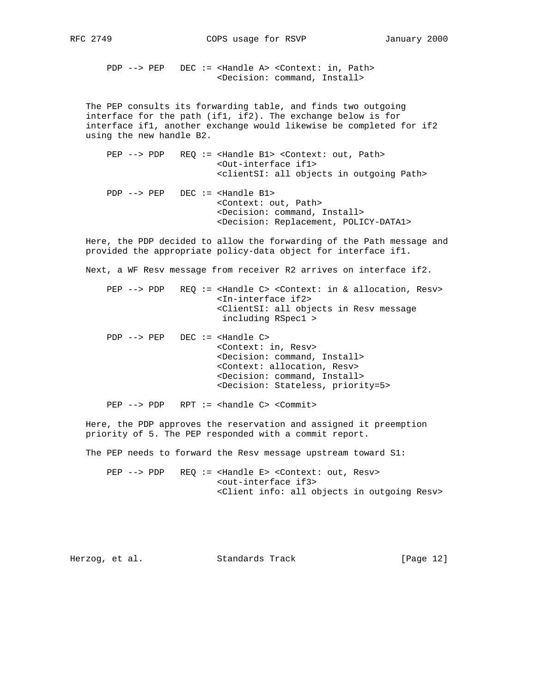PDP --> PEP DEC := <Handle A> <Context: in, Path> <Decision: command, Install>

 The PEP consults its forwarding table, and finds two outgoing interface for the path (if1, if2). The exchange below is for interface if1, another exchange would likewise be completed for if2 using the new handle B2.

 PEP --> PDP REQ := <Handle B1> <Context: out, Path> <Out-interface if1> <clientSI: all objects in outgoing Path>

 PDP --> PEP DEC := <Handle B1> <Context: out, Path> <Decision: command, Install> <Decision: Replacement, POLICY-DATA1>

 Here, the PDP decided to allow the forwarding of the Path message and provided the appropriate policy-data object for interface if1.

Next, a WF Resv message from receiver R2 arrives on interface if2.

 PEP --> PDP REQ := <Handle C> <Context: in & allocation, Resv> <In-interface if2> <ClientSI: all objects in Resv message including RSpec1 >

 PDP --> PEP DEC := <Handle C> <Context: in, Resv> <Decision: command, Install> <Context: allocation, Resv> <Decision: command, Install> <Decision: Stateless, priority=5>

PEP --> PDP RPT := <handle C> <Commit>

 Here, the PDP approves the reservation and assigned it preemption priority of 5. The PEP responded with a commit report.

The PEP needs to forward the Resv message upstream toward S1:

PEP --> PDP REQ := <Handle E> <Context: out, Resv> <out-interface if3> <Client info: all objects in outgoing Resv>

Herzog, et al. Standards Track [Page 12]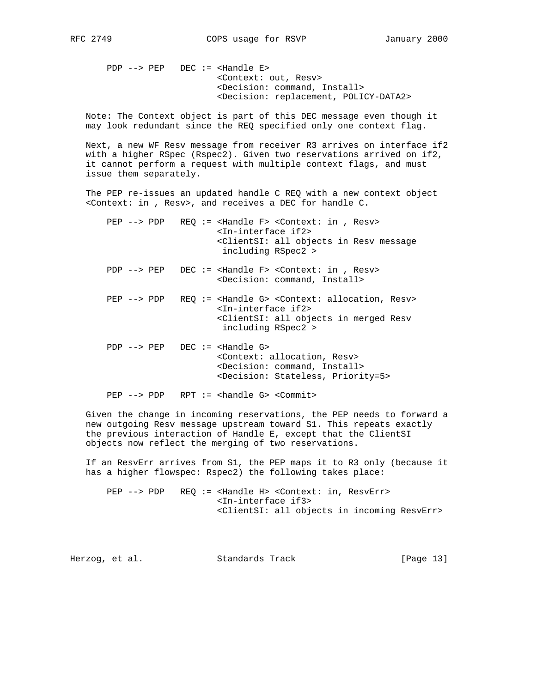PDP --> PEP DEC := <Handle E> <Context: out, Resv> <Decision: command, Install> <Decision: replacement, POLICY-DATA2>

 Note: The Context object is part of this DEC message even though it may look redundant since the REQ specified only one context flag.

 Next, a new WF Resv message from receiver R3 arrives on interface if2 with a higher RSpec (Rspec2). Given two reservations arrived on if2, it cannot perform a request with multiple context flags, and must issue them separately.

 The PEP re-issues an updated handle C REQ with a new context object <Context: in , Resv>, and receives a DEC for handle C.

PEP --> PDP REQ := <Handle F> <Context: in, Resv> <In-interface if2> <ClientSI: all objects in Resv message including RSpec2 >

PDP --> PEP DEC := <Handle F> <Context: in, Resv> <Decision: command, Install>

 PEP --> PDP REQ := <Handle G> <Context: allocation, Resv> <In-interface if2> <ClientSI: all objects in merged Resv including RSpec2 >

 PDP --> PEP DEC := <Handle G> <Context: allocation, Resv> <Decision: command, Install> <Decision: Stateless, Priority=5>

PEP --> PDP RPT := <handle G> <Commit>

 Given the change in incoming reservations, the PEP needs to forward a new outgoing Resv message upstream toward S1. This repeats exactly the previous interaction of Handle E, except that the ClientSI objects now reflect the merging of two reservations.

 If an ResvErr arrives from S1, the PEP maps it to R3 only (because it has a higher flowspec: Rspec2) the following takes place:

 PEP --> PDP REQ := <Handle H> <Context: in, ResvErr> <In-interface if3> <ClientSI: all objects in incoming ResvErr>

Herzog, et al. Standards Track [Page 13]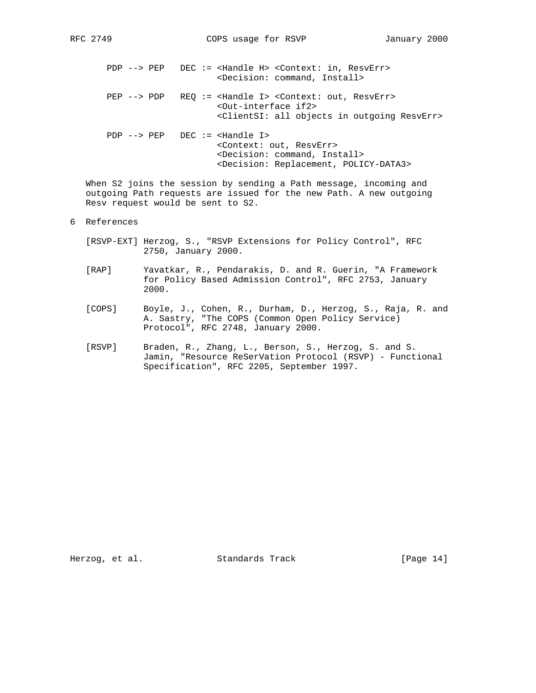PDP --> PEP DEC := <Handle H> <Context: in, ResvErr> <Decision: command, Install> PEP --> PDP REQ := <Handle I> <Context: out, ResvErr> <Out-interface if2> <ClientSI: all objects in outgoing ResvErr> PDP --> PEP DEC := <Handle I> <Context: out, ResvErr> <Decision: command, Install>

<Decision: Replacement, POLICY-DATA3>

 When S2 joins the session by sending a Path message, incoming and outgoing Path requests are issued for the new Path. A new outgoing Resv request would be sent to S2.

## 6 References

- [RSVP-EXT] Herzog, S., "RSVP Extensions for Policy Control", RFC 2750, January 2000.
- [RAP] Yavatkar, R., Pendarakis, D. and R. Guerin, "A Framework for Policy Based Admission Control", RFC 2753, January 2000.
- [COPS] Boyle, J., Cohen, R., Durham, D., Herzog, S., Raja, R. and A. Sastry, "The COPS (Common Open Policy Service) Protocol", RFC 2748, January 2000.
- [RSVP] Braden, R., Zhang, L., Berson, S., Herzog, S. and S. Jamin, "Resource ReSerVation Protocol (RSVP) - Functional Specification", RFC 2205, September 1997.

Herzog, et al. Standards Track [Page 14]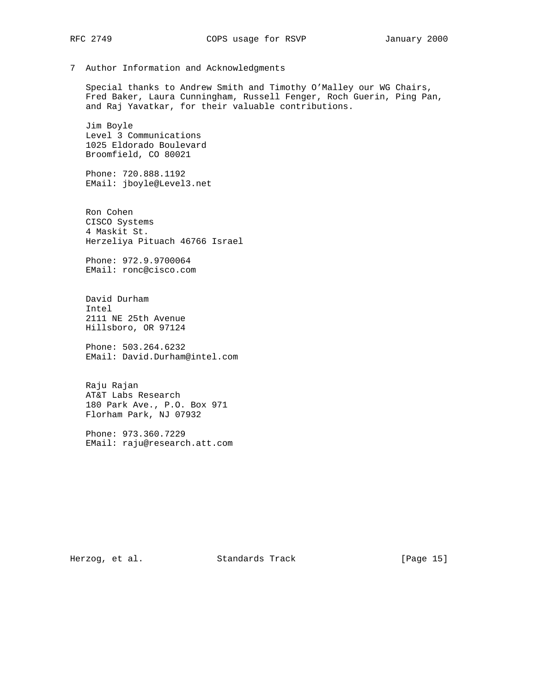7 Author Information and Acknowledgments

 Special thanks to Andrew Smith and Timothy O'Malley our WG Chairs, Fred Baker, Laura Cunningham, Russell Fenger, Roch Guerin, Ping Pan, and Raj Yavatkar, for their valuable contributions.

 Jim Boyle Level 3 Communications 1025 Eldorado Boulevard Broomfield, CO 80021

 Phone: 720.888.1192 EMail: jboyle@Level3.net

 Ron Cohen CISCO Systems 4 Maskit St. Herzeliya Pituach 46766 Israel

 Phone: 972.9.9700064 EMail: ronc@cisco.com

 David Durham Intel 2111 NE 25th Avenue Hillsboro, OR 97124

 Phone: 503.264.6232 EMail: David.Durham@intel.com

 Raju Rajan AT&T Labs Research 180 Park Ave., P.O. Box 971 Florham Park, NJ 07932

 Phone: 973.360.7229 EMail: raju@research.att.com

Herzog, et al. Standards Track [Page 15]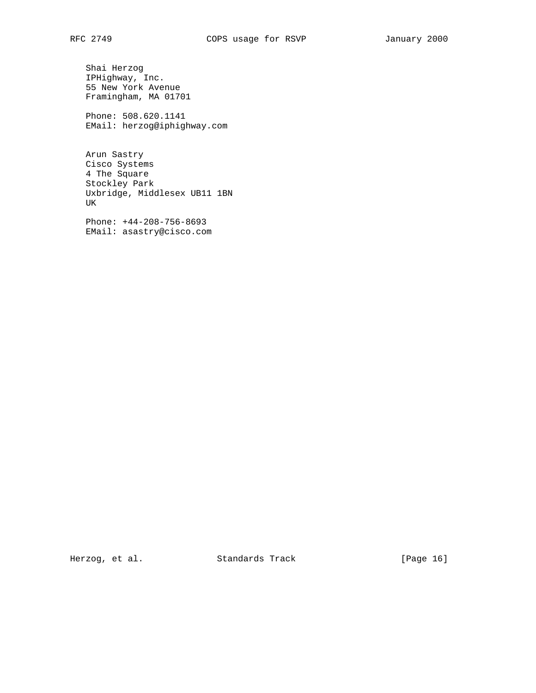Shai Herzog IPHighway, Inc. 55 New York Avenue Framingham, MA 01701

 Phone: 508.620.1141 EMail: herzog@iphighway.com

 Arun Sastry Cisco Systems 4 The Square Stockley Park Uxbridge, Middlesex UB11 1BN UK

 Phone: +44-208-756-8693 EMail: asastry@cisco.com

Herzog, et al. Standards Track [Page 16]